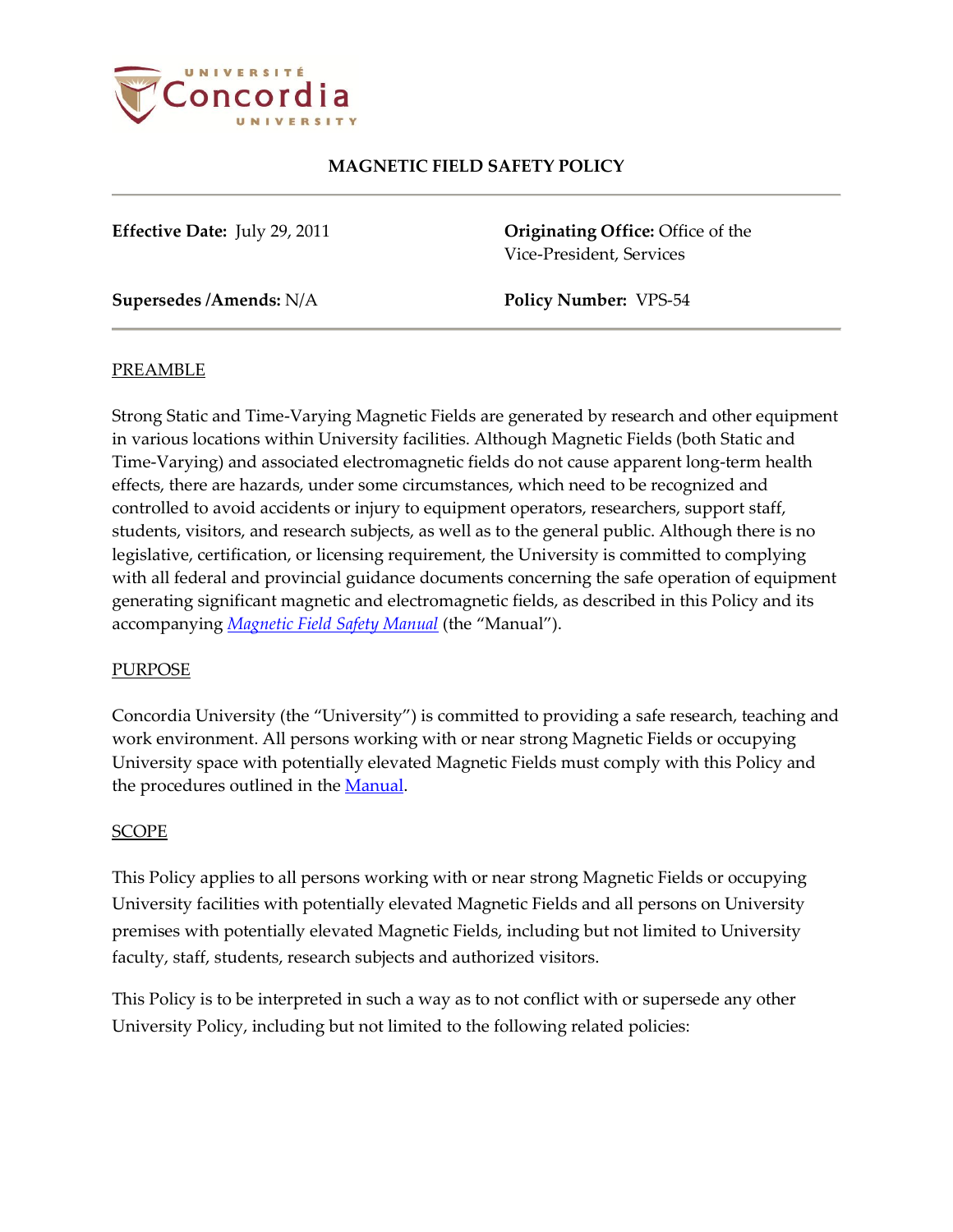

**Effective Date:** July 29, 2011 **Originating Office:** Office of the Vice-President, Services

**Supersedes /Amends:** N/A **Policy Number:** VPS-54

### **PREAMBLE**

Strong Static and Time-Varying Magnetic Fields are generated by research and other equipment in various locations within University facilities. Although Magnetic Fields (both Static and Time-Varying) and associated electromagnetic fields do not cause apparent long-term health effects, there are hazards, under some circumstances, which need to be recognized and controlled to avoid accidents or injury to equipment operators, researchers, support staff, students, visitors, and research subjects, as well as to the general public. Although there is no legislative, certification, or licensing requirement, the University is committed to complying with all federal and provincial guidance documents concerning the safe operation of equipment generating significant magnetic and electromagnetic fields, as described in this Policy and its accompanying *[Magnetic Field](http://ehs.concordia.ca/pdf/Magnetic_Field_Manual.pdf) Safety Manual* (the "Manual").

### PURPOSE

Concordia University (the "University") is committed to providing a safe research, teaching and work environment. All persons working with or near strong Magnetic Fields or occupying University space with potentially elevated Magnetic Fields must comply with this Policy and the procedures outlined in th[e Manual.](http://ehs.concordia.ca/pdf/Magnetic_Field_Manual.pdf)

### SCOPE

This Policy applies to all persons working with or near strong Magnetic Fields or occupying University facilities with potentially elevated Magnetic Fields and all persons on University premises with potentially elevated Magnetic Fields, including but not limited to University faculty, staff, students, research subjects and authorized visitors.

This Policy is to be interpreted in such a way as to not conflict with or supersede any other University Policy, including but not limited to the following related policies: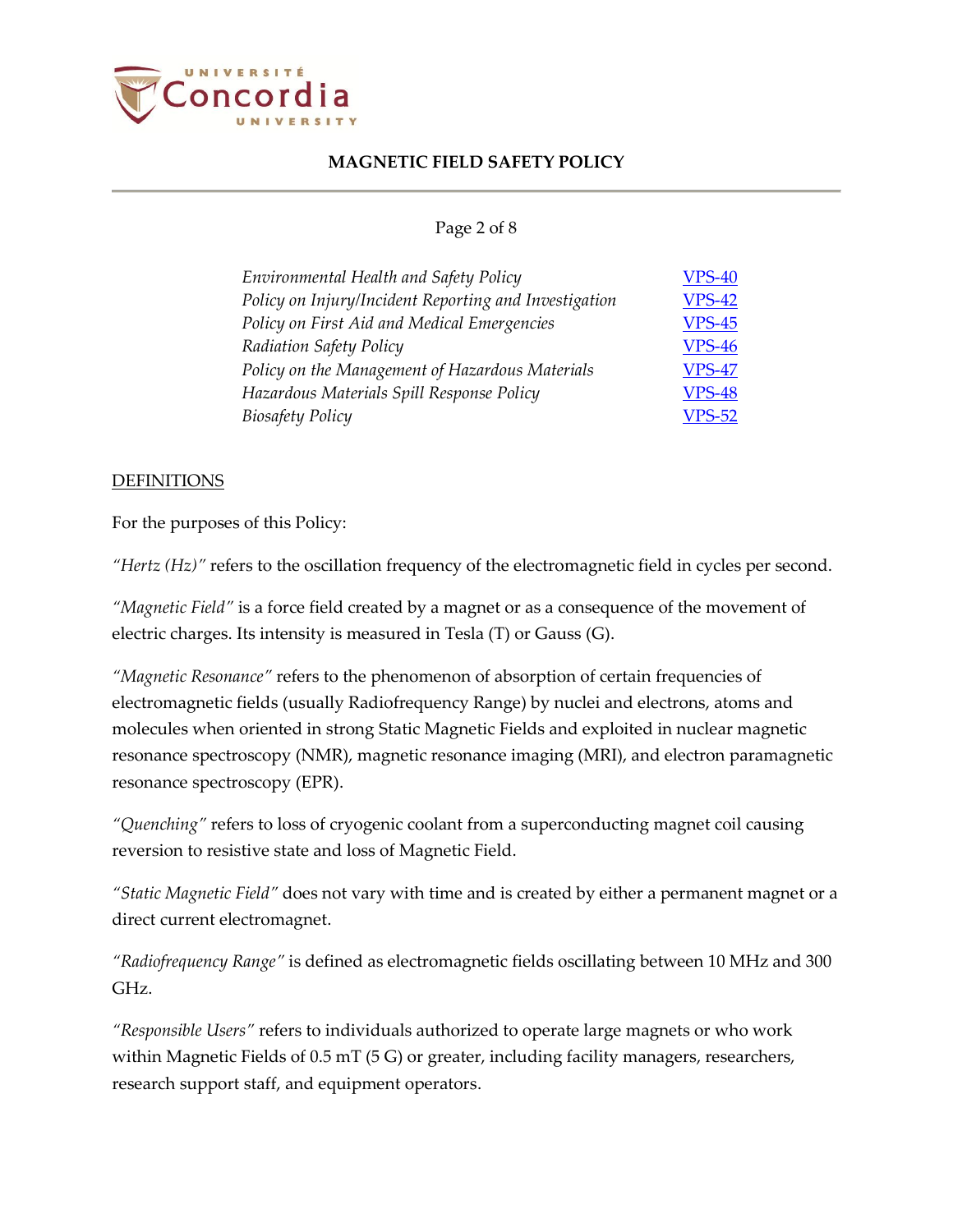

### Page 2 of 8

| Environmental Health and Safety Policy                | <b>VPS-40</b> |
|-------------------------------------------------------|---------------|
| Policy on Injury/Incident Reporting and Investigation | <b>VPS-42</b> |
| Policy on First Aid and Medical Emergencies           | <b>VPS-45</b> |
| Radiation Safety Policy                               | <b>VPS-46</b> |
| Policy on the Management of Hazardous Materials       | <b>VPS-47</b> |
| Hazardous Materials Spill Response Policy             | <b>VPS-48</b> |
| <b>Biosafety Policy</b>                               | <b>VPS-52</b> |

#### **DEFINITIONS**

For the purposes of this Policy:

*"Hertz (Hz)"* refers to the oscillation frequency of the electromagnetic field in cycles per second.

*"Magnetic Field"* is a force field created by a magnet or as a consequence of the movement of electric charges. Its intensity is measured in Tesla (T) or Gauss (G).

*"Magnetic Resonance"* refers to the phenomenon of absorption of certain frequencies of electromagnetic fields (usually Radiofrequency Range) by nuclei and electrons, atoms and molecules when oriented in strong Static Magnetic Fields and exploited in nuclear magnetic resonance spectroscopy (NMR), magnetic resonance imaging (MRI), and electron paramagnetic resonance spectroscopy (EPR).

*"Quenching"* refers to loss of cryogenic coolant from a superconducting magnet coil causing reversion to resistive state and loss of Magnetic Field.

*"Static Magnetic Field"* does not vary with time and is created by either a permanent magnet or a direct current electromagnet.

*"Radiofrequency Range"* is defined as electromagnetic fields oscillating between 10 MHz and 300 GHz.

*"Responsible Users"* refers to individuals authorized to operate large magnets or who work within Magnetic Fields of 0.5 mT (5 G) or greater, including facility managers, researchers, research support staff, and equipment operators.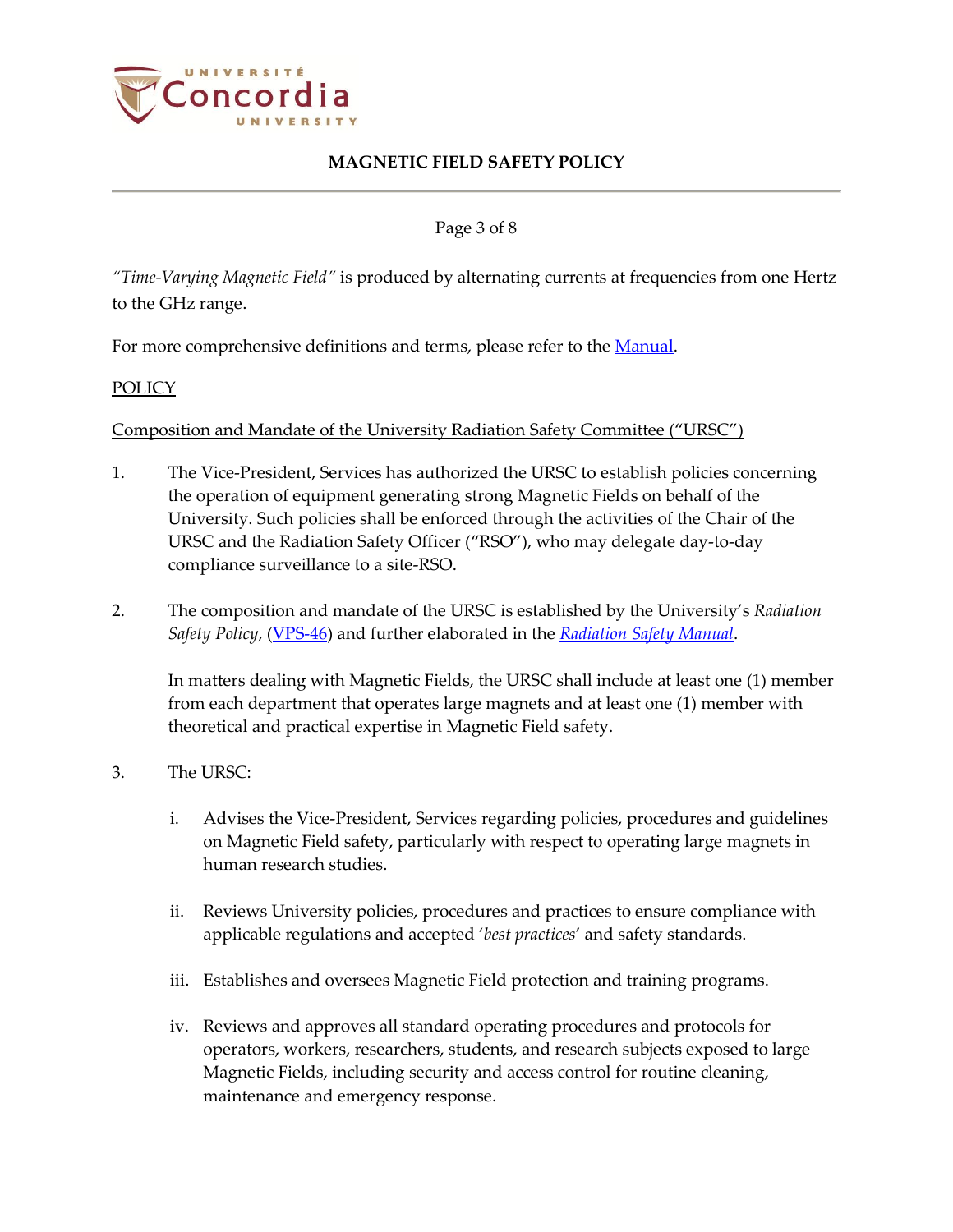

Page 3 of 8

*"Time-Varying Magnetic Field"* is produced by alternating currents at frequencies from one Hertz to the GHz range.

For more comprehensive definitions and terms, please refer to the [Manual.](http://ehs.concordia.ca/pdf/Magnetic_Field_Manual.pdf)

### POLICY

Composition and Mandate of the University Radiation Safety Committee ("URSC")

- 1. The Vice-President, Services has authorized the URSC to establish policies concerning the operation of equipment generating strong Magnetic Fields on behalf of the University. Such policies shall be enforced through the activities of the Chair of the URSC and the Radiation Safety Officer ("RSO"), who may delegate day-to-day compliance surveillance to a site-RSO.
- 2. The composition and mandate of the URSC is established by the University's *Radiation Safety Policy*, [\(VPS-46\)](http://www.concordia.ca/vpirsg/documents/policies/VPS-46.pdf) and further elaborated in the *[Radiation Safety Manual](http://ehs.concordia.ca/pdf/Radiation_Safety_Manual.pdf)*.

In matters dealing with Magnetic Fields, the URSC shall include at least one (1) member from each department that operates large magnets and at least one (1) member with theoretical and practical expertise in Magnetic Field safety.

- 3. The URSC:
	- i. Advises the Vice-President, Services regarding policies, procedures and guidelines on Magnetic Field safety, particularly with respect to operating large magnets in human research studies.
	- ii. Reviews University policies, procedures and practices to ensure compliance with applicable regulations and accepted '*best practices*' and safety standards.
	- iii. Establishes and oversees Magnetic Field protection and training programs.
	- iv. Reviews and approves all standard operating procedures and protocols for operators, workers, researchers, students, and research subjects exposed to large Magnetic Fields, including security and access control for routine cleaning, maintenance and emergency response.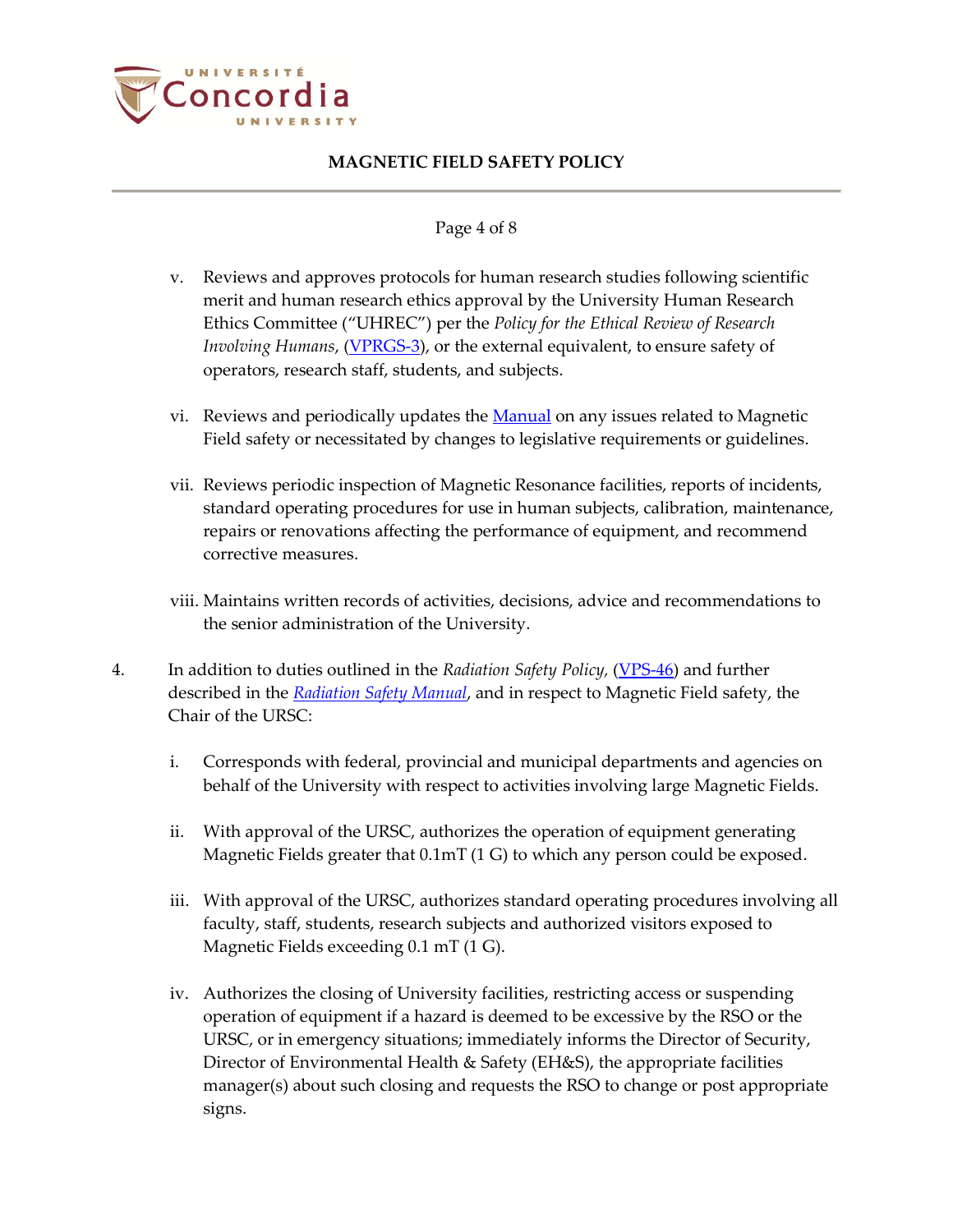

#### Page 4 of 8

- v. Reviews and approves protocols for human research studies following scientific merit and human research ethics approval by the University Human Research Ethics Committee ("UHREC") per the *Policy for the Ethical Review of Research Involving Humans*, [\(VPRGS-3\)](http://www.concordia.ca/vpirsg/documents/policies/VPRGS-3.pdf), or the external equivalent, to ensure safety of operators, research staff, students, and subjects.
- vi. Reviews and periodically updates the [Manual](http://ehs.concordia.ca/pdf/Magnetic_Field_Manual.pdf) on any issues related to Magnetic Field safety or necessitated by changes to legislative requirements or guidelines.
- vii. Reviews periodic inspection of Magnetic Resonance facilities, reports of incidents, standard operating procedures for use in human subjects, calibration, maintenance, repairs or renovations affecting the performance of equipment, and recommend corrective measures.
- viii. Maintains written records of activities, decisions, advice and recommendations to the senior administration of the University.
- 4. In addition to duties outlined in the *Radiation Safety Policy,* [\(VPS-46\)](http://www.concordia.ca/vpirsg/documents/policies/VPS-46.pdf) and further described in the *[Radiation Safety Manual](http://ehs.concordia.ca/pdf/Radiation_Safety_Manual.pdf)*, and in respect to Magnetic Field safety, the Chair of the URSC:
	- i. Corresponds with federal, provincial and municipal departments and agencies on behalf of the University with respect to activities involving large Magnetic Fields.
	- ii. With approval of the URSC, authorizes the operation of equipment generating Magnetic Fields greater that 0.1mT (1 G) to which any person could be exposed.
	- iii. With approval of the URSC, authorizes standard operating procedures involving all faculty, staff, students, research subjects and authorized visitors exposed to Magnetic Fields exceeding 0.1 mT (1 G).
	- iv. Authorizes the closing of University facilities, restricting access or suspending operation of equipment if a hazard is deemed to be excessive by the RSO or the URSC, or in emergency situations; immediately informs the Director of Security, Director of Environmental Health & Safety (EH&S), the appropriate facilities manager(s) about such closing and requests the RSO to change or post appropriate signs.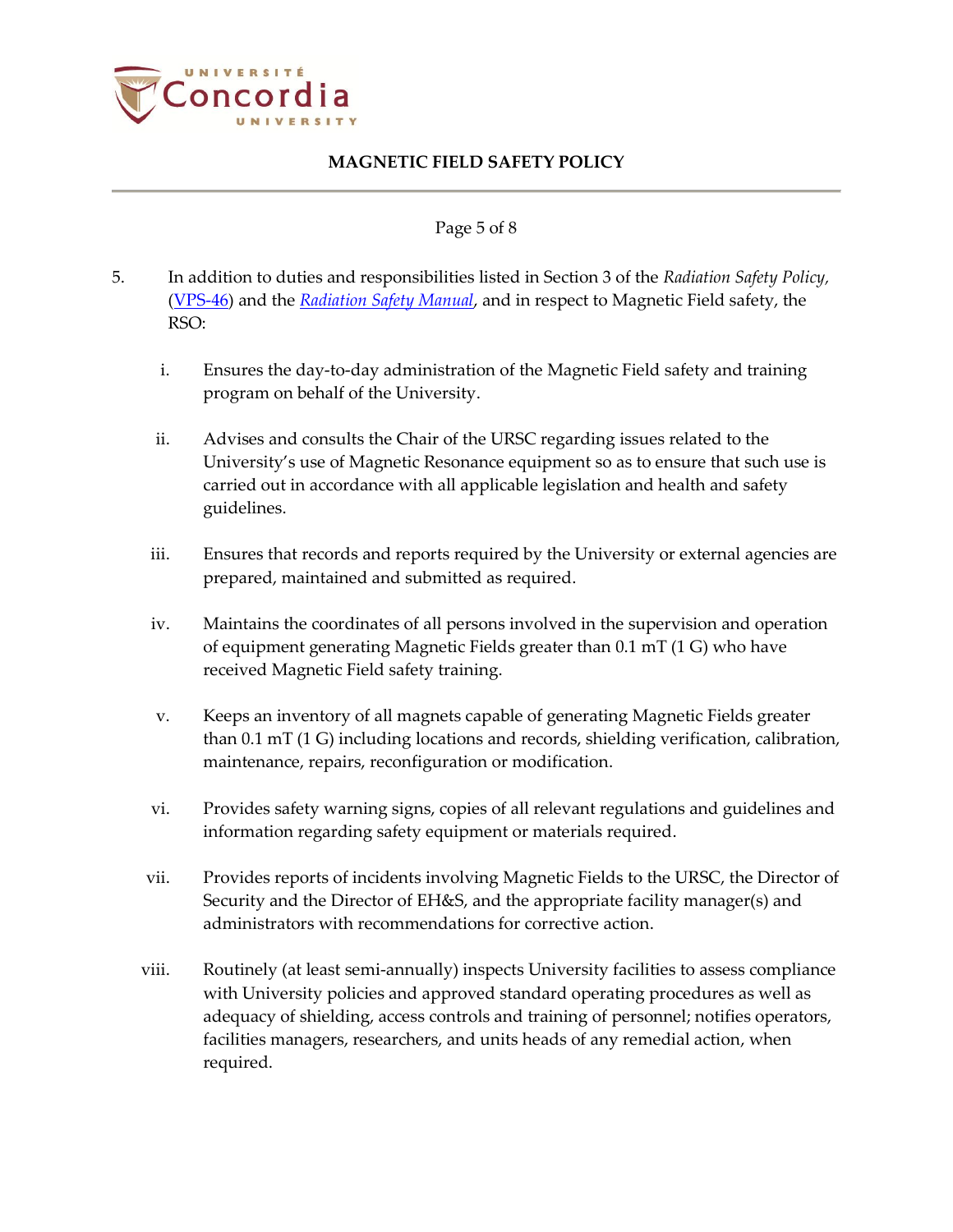

#### Page 5 of 8

- 5. In addition to duties and responsibilities listed in Section 3 of the *Radiation Safety Policy,* [\(VPS-46\)](http://www.concordia.ca/vpirsg/documents/policies/VPS-46.pdf) and the *[Radiation Safety Manual](http://ehs.concordia.ca/pdf/Radiation_Safety_Manual.pdf)*, and in respect to Magnetic Field safety, the RSO:
	- i. Ensures the day-to-day administration of the Magnetic Field safety and training program on behalf of the University.
	- ii. Advises and consults the Chair of the URSC regarding issues related to the University's use of Magnetic Resonance equipment so as to ensure that such use is carried out in accordance with all applicable legislation and health and safety guidelines.
	- iii. Ensures that records and reports required by the University or external agencies are prepared, maintained and submitted as required.
	- iv. Maintains the coordinates of all persons involved in the supervision and operation of equipment generating Magnetic Fields greater than 0.1 mT (1 G) who have received Magnetic Field safety training.
	- v. Keeps an inventory of all magnets capable of generating Magnetic Fields greater than 0.1 mT (1 G) including locations and records, shielding verification, calibration, maintenance, repairs, reconfiguration or modification.
	- vi. Provides safety warning signs, copies of all relevant regulations and guidelines and information regarding safety equipment or materials required.
	- vii. Provides reports of incidents involving Magnetic Fields to the URSC, the Director of Security and the Director of EH&S, and the appropriate facility manager(s) and administrators with recommendations for corrective action.
	- viii. Routinely (at least semi-annually) inspects University facilities to assess compliance with University policies and approved standard operating procedures as well as adequacy of shielding, access controls and training of personnel; notifies operators, facilities managers, researchers, and units heads of any remedial action, when required.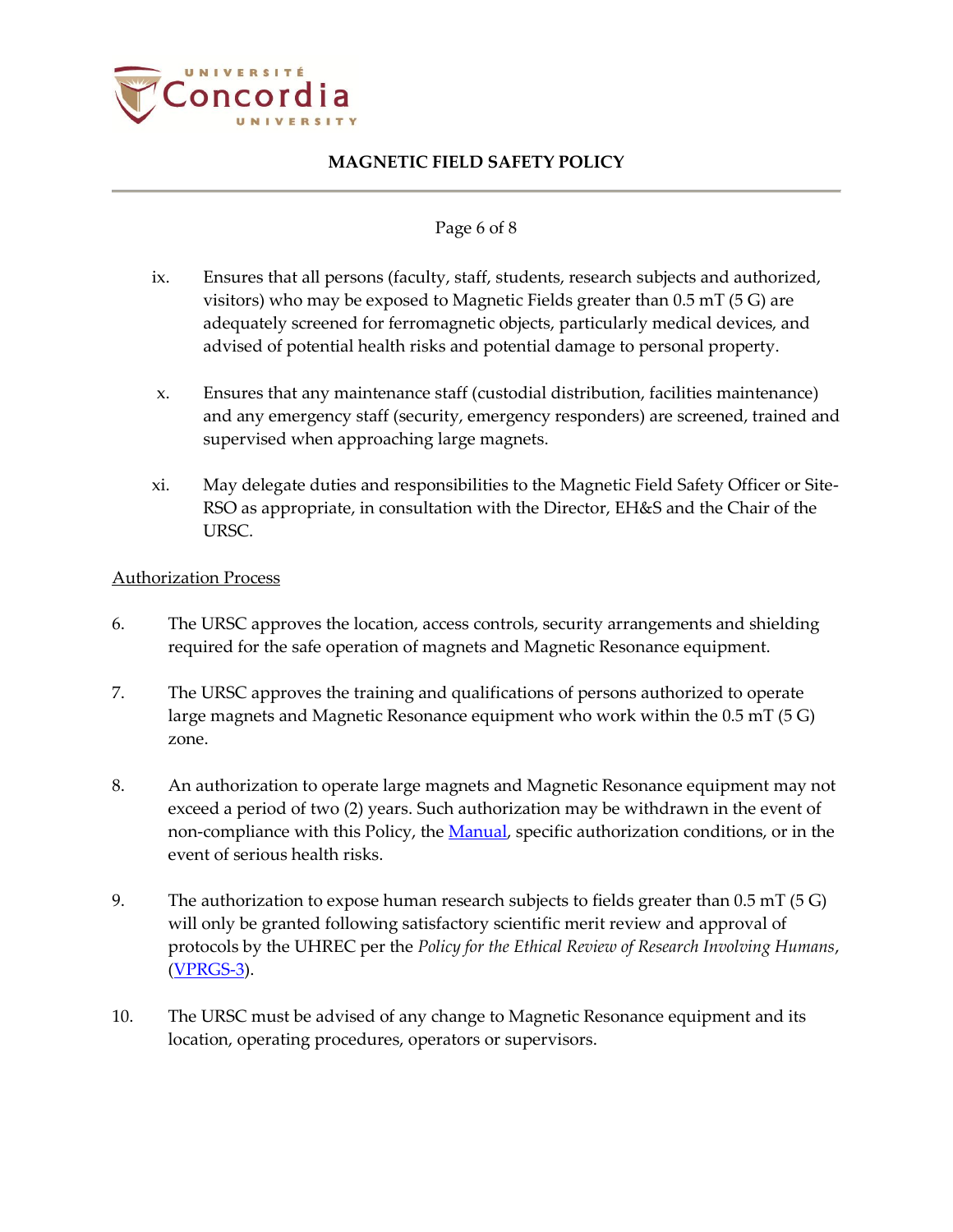

#### Page 6 of 8

- ix. Ensures that all persons (faculty, staff, students, research subjects and authorized, visitors) who may be exposed to Magnetic Fields greater than 0.5 mT (5 G) are adequately screened for ferromagnetic objects, particularly medical devices, and advised of potential health risks and potential damage to personal property.
- x. Ensures that any maintenance staff (custodial distribution, facilities maintenance) and any emergency staff (security, emergency responders) are screened, trained and supervised when approaching large magnets.
- xi. May delegate duties and responsibilities to the Magnetic Field Safety Officer or Site-RSO as appropriate, in consultation with the Director, EH&S and the Chair of the URSC.

### Authorization Process

- 6. The URSC approves the location, access controls, security arrangements and shielding required for the safe operation of magnets and Magnetic Resonance equipment.
- 7. The URSC approves the training and qualifications of persons authorized to operate large magnets and Magnetic Resonance equipment who work within the 0.5 mT (5 G) zone.
- 8. An authorization to operate large magnets and Magnetic Resonance equipment may not exceed a period of two (2) years. Such authorization may be withdrawn in the event of non-compliance with this Policy, the [Manual,](http://ehs.concordia.ca/pdf/Magnetic_Field_Manual.pdf) specific authorization conditions, or in the event of serious health risks.
- 9. The authorization to expose human research subjects to fields greater than 0.5 mT (5 G) will only be granted following satisfactory scientific merit review and approval of protocols by the UHREC per the *Policy for the Ethical Review of Research Involving Humans*, [\(VPRGS-3\)](http://www.concordia.ca/vpirsg/documents/policies/VPRGS-3.pdf).
- 10. The URSC must be advised of any change to Magnetic Resonance equipment and its location, operating procedures, operators or supervisors.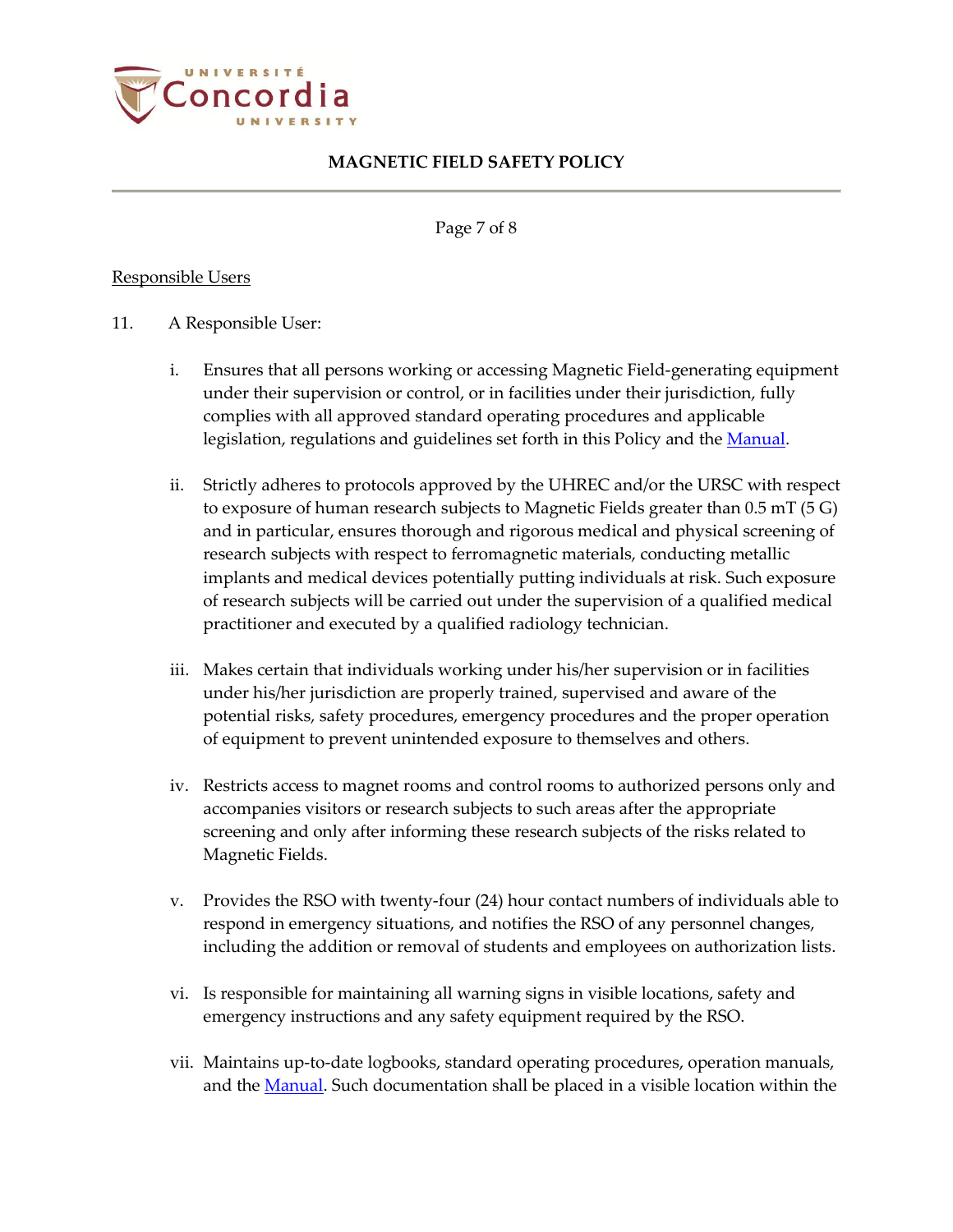

Page 7 of 8

### Responsible Users

### 11. A Responsible User:

- i. Ensures that all persons working or accessing Magnetic Field-generating equipment under their supervision or control, or in facilities under their jurisdiction, fully complies with all approved standard operating procedures and applicable legislation, regulations and guidelines set forth in this Policy and the [Manual.](http://ehs.concordia.ca/pdf/Magnetic_Field_Manual.pdf)
- ii. Strictly adheres to protocols approved by the UHREC and/or the URSC with respect to exposure of human research subjects to Magnetic Fields greater than 0.5 mT (5 G) and in particular, ensures thorough and rigorous medical and physical screening of research subjects with respect to ferromagnetic materials, conducting metallic implants and medical devices potentially putting individuals at risk. Such exposure of research subjects will be carried out under the supervision of a qualified medical practitioner and executed by a qualified radiology technician.
- iii. Makes certain that individuals working under his/her supervision or in facilities under his/her jurisdiction are properly trained, supervised and aware of the potential risks, safety procedures, emergency procedures and the proper operation of equipment to prevent unintended exposure to themselves and others.
- iv. Restricts access to magnet rooms and control rooms to authorized persons only and accompanies visitors or research subjects to such areas after the appropriate screening and only after informing these research subjects of the risks related to Magnetic Fields.
- v. Provides the RSO with twenty-four (24) hour contact numbers of individuals able to respond in emergency situations, and notifies the RSO of any personnel changes, including the addition or removal of students and employees on authorization lists.
- vi. Is responsible for maintaining all warning signs in visible locations, safety and emergency instructions and any safety equipment required by the RSO.
- vii. Maintains up-to-date logbooks, standard operating procedures, operation manuals, and the [Manual.](http://ehs.concordia.ca/pdf/Magnetic_Field_Manual.pdf) Such documentation shall be placed in a visible location within the